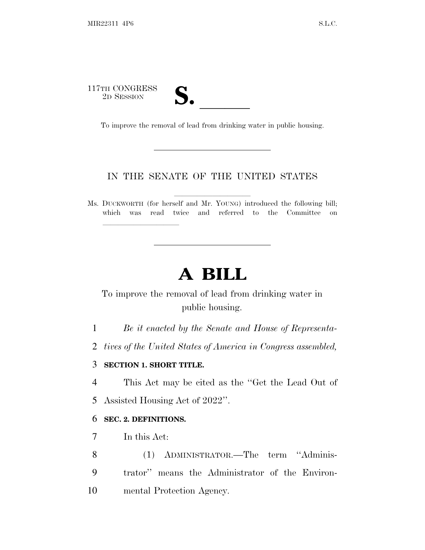# 117TH CONGRESS<br>2D SESSION TH CONGRESS<br>
2D SESSION<br>
To improve the removal of lead from drinking water in public housing.

lland and a state of the state of the state of the state of the state of the state of the state of the state o

# IN THE SENATE OF THE UNITED STATES

Ms. DUCKWORTH (for herself and Mr. YOUNG) introduced the following bill; which was read twice and referred to the Committee on

# **A BILL**

# To improve the removal of lead from drinking water in public housing.

- 1 *Be it enacted by the Senate and House of Representa-*
- 2 *tives of the United States of America in Congress assembled,*

#### 3 **SECTION 1. SHORT TITLE.**

- 4 This Act may be cited as the ''Get the Lead Out of
- 5 Assisted Housing Act of 2022''.

## 6 **SEC. 2. DEFINITIONS.**

- 7 In this Act:
- 8 (1) ADMINISTRATOR.—The term ''Adminis-9 trator'' means the Administrator of the Environ-10 mental Protection Agency.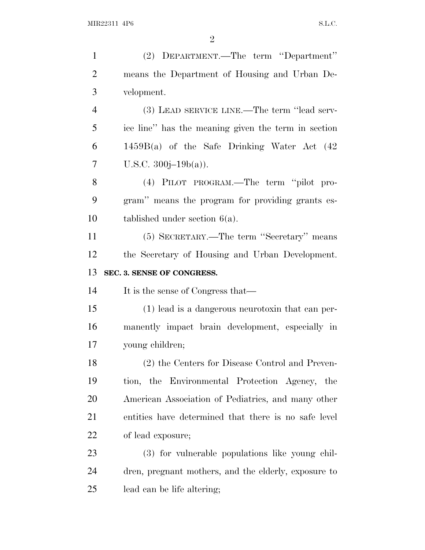| $\mathbf{1}$   | (2) DEPARTMENT.—The term "Department"                |
|----------------|------------------------------------------------------|
| $\overline{2}$ | means the Department of Housing and Urban De-        |
| 3              | velopment.                                           |
| $\overline{4}$ | (3) LEAD SERVICE LINE.—The term "lead serv-          |
| 5              | ice line" has the meaning given the term in section  |
| 6              | 1459B(a) of the Safe Drinking Water Act (42          |
| $\tau$         | U.S.C. $300j-19b(a)$ ).                              |
| 8              | (4) PILOT PROGRAM.—The term "pilot pro-              |
| 9              | gram" means the program for providing grants es-     |
| 10             | tablished under section $6(a)$ .                     |
| 11             | (5) SECRETARY.—The term "Secretary" means            |
| 12             | the Secretary of Housing and Urban Development.      |
| 13             | SEC. 3. SENSE OF CONGRESS.                           |
| 14             | It is the sense of Congress that—                    |
| 15             | (1) lead is a dangerous neurotoxin that can per-     |
| 16             | manently impact brain development, especially in     |
| 17             | young children;                                      |
| 18             | (2) the Centers for Disease Control and Preven-      |
| 19             | tion, the Environmental Protection Agency, the       |
| 20             | American Association of Pediatrics, and many other   |
| 21             | entities have determined that there is no safe level |
| 22             | of lead exposure;                                    |
| 23             | (3) for vulnerable populations like young chil-      |
| 24             | dren, pregnant mothers, and the elderly, exposure to |
| 25             | lead can be life altering;                           |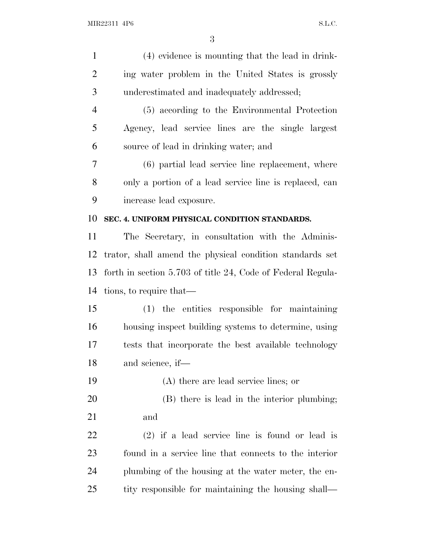| $\mathbf{1}$   | (4) evidence is mounting that the lead in drink-            |
|----------------|-------------------------------------------------------------|
| $\overline{2}$ | ing water problem in the United States is grossly           |
| 3              | underestimated and inadequately addressed;                  |
| $\overline{4}$ | (5) according to the Environmental Protection               |
| 5              | Agency, lead service lines are the single largest           |
| 6              | source of lead in drinking water; and                       |
| 7              | (6) partial lead service line replacement, where            |
| 8              | only a portion of a lead service line is replaced, can      |
| 9              | increase lead exposure.                                     |
| 10             | SEC. 4. UNIFORM PHYSICAL CONDITION STANDARDS.               |
| 11             | The Secretary, in consultation with the Adminis-            |
| 12             | trator, shall amend the physical condition standards set    |
| 13             | forth in section 5.703 of title 24, Code of Federal Regula- |
| 14             | tions, to require that—                                     |
| 15             | (1) the entities responsible for maintaining                |
| 16             | housing inspect building systems to determine, using        |
| 17             | tests that incorporate the best available technology        |
| 18             | and science, if—                                            |
| 19             | (A) there are lead service lines; or                        |
| 20             | (B) there is lead in the interior plumbing;                 |
| 21             | and                                                         |
| <u>22</u>      | $(2)$ if a lead service line is found or lead is            |
| 23             | found in a service line that connects to the interior       |
| 24             | plumbing of the housing at the water meter, the en-         |
| 25             | tity responsible for maintaining the housing shall—         |
|                |                                                             |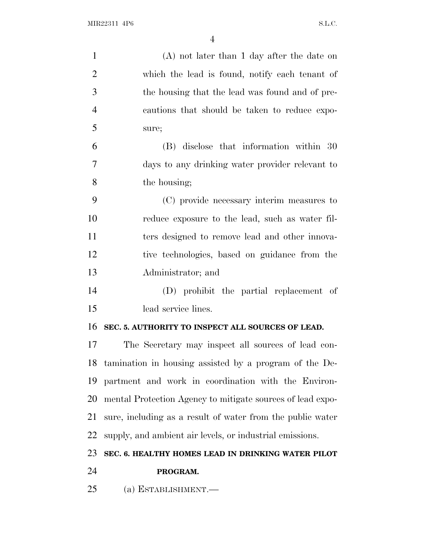| $\mathbf{1}$   | $(A)$ not later than 1 day after the date on               |
|----------------|------------------------------------------------------------|
| $\overline{2}$ | which the lead is found, notify each tenant of             |
| 3              | the housing that the lead was found and of pre-            |
| $\overline{4}$ | cautions that should be taken to reduce expo-              |
| 5              | sure;                                                      |
| 6              | (B) disclose that information within 30                    |
| 7              | days to any drinking water provider relevant to            |
| 8              | the housing;                                               |
| 9              | (C) provide necessary interim measures to                  |
| 10             | reduce exposure to the lead, such as water fil-            |
| 11             | ters designed to remove lead and other innova-             |
| 12             | tive technologies, based on guidance from the              |
| 13             | Administrator; and                                         |
| 14             | (D) prohibit the partial replacement of                    |
| 15             | lead service lines.                                        |
| 16             | SEC. 5. AUTHORITY TO INSPECT ALL SOURCES OF LEAD.          |
| 17             | The Secretary may inspect all sources of lead con-         |
| 18             | tamination in housing assisted by a program of the De-     |
| 19             | partment and work in coordination with the Environ-        |
| 20             | mental Protection Agency to mitigate sources of lead expo- |
| 21             | sure, including as a result of water from the public water |
| 22             | supply, and ambient air levels, or industrial emissions.   |
| 23             | SEC. 6. HEALTHY HOMES LEAD IN DRINKING WATER PILOT         |
| 24             | PROGRAM.                                                   |
| 25             | (a) ESTABLISHMENT.-                                        |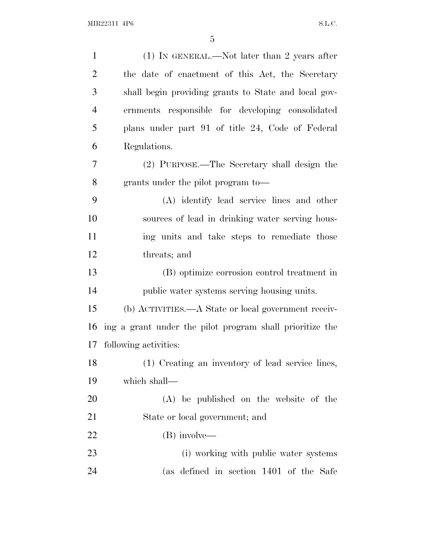| $\mathbf{1}$   | $(1)$ IN GENERAL.—Not later than 2 years after           |
|----------------|----------------------------------------------------------|
| $\overline{2}$ | the date of enactment of this Act, the Secretary         |
| 3              | shall begin providing grants to State and local gov-     |
| $\overline{4}$ | ernments responsible for developing consolidated         |
| 5              | plans under part 91 of title 24, Code of Federal         |
| 6              | Regulations.                                             |
| 7              | (2) PURPOSE.—The Secretary shall design the              |
| 8              | grants under the pilot program to-                       |
| 9              | (A) identify lead service lines and other                |
| 10             | sources of lead in drinking water serving hous-          |
| 11             | ing units and take steps to remediate those              |
| 12             | threats; and                                             |
| 13             | (B) optimize corrosion control treatment in              |
| 14             | public water systems serving housing units.              |
| 15             | (b) ACTIVITIES.—A State or local government receiv-      |
| 16             | ing a grant under the pilot program shall prioritize the |
| 17             | following activities:                                    |
| 18             | (1) Creating an inventory of lead service lines,         |
| 19             | which shall—                                             |
| 20             | (A) be published on the website of the                   |
| 21             | State or local government; and                           |
| 22             | (B) involve—                                             |
| 23             | (i) working with public water systems                    |
| 24             | (as defined in section 1401 of the Safe                  |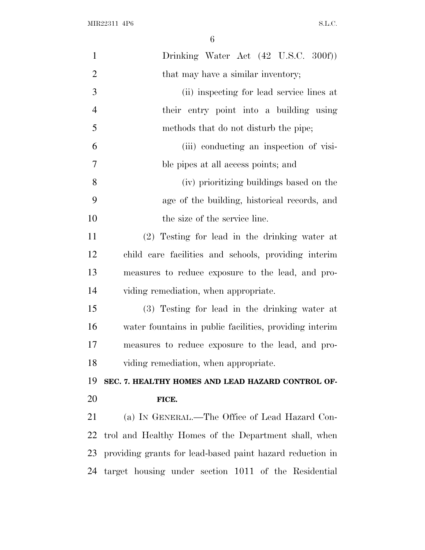| $\mathbf{1}$   | Drinking Water Act (42 U.S.C. 300f))                      |
|----------------|-----------------------------------------------------------|
| $\overline{2}$ | that may have a similar inventory;                        |
| 3              | (ii) inspecting for lead service lines at                 |
| $\overline{4}$ | their entry point into a building using                   |
| 5              | methods that do not disturb the pipe;                     |
| 6              | (iii) conducting an inspection of visi-                   |
| 7              | ble pipes at all access points; and                       |
| 8              | (iv) prioritizing buildings based on the                  |
| 9              | age of the building, historical records, and              |
| 10             | the size of the service line.                             |
| 11             | (2) Testing for lead in the drinking water at             |
| 12             | child care facilities and schools, providing interim      |
| 13             | measures to reduce exposure to the lead, and pro-         |
|                |                                                           |
| 14             | viding remediation, when appropriate.                     |
| 15             | (3) Testing for lead in the drinking water at             |
| 16             | water fountains in public facilities, providing interim   |
| 17             | measures to reduce exposure to the lead, and pro-         |
| 18             | viding remediation, when appropriate.                     |
| 19             | SEC. 7. HEALTHY HOMES AND LEAD HAZARD CONTROL OF-         |
| 20             | FICE.                                                     |
| 21             | (a) IN GENERAL.—The Office of Lead Hazard Con-            |
| 22             | trol and Healthy Homes of the Department shall, when      |
| 23             | providing grants for lead-based paint hazard reduction in |